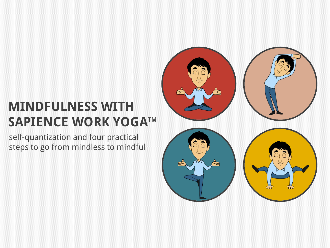## **MINDFULNESS WITH SAPIENCE WORK YOGATM**

self-quantization and four practical steps to go from mindless to mindful

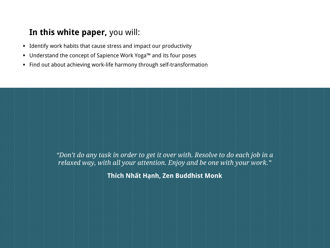### **In this white paper,** you will:

- Identify work habits that cause stress and impact our productivity
- Understand the concept of Sapience Work Yoga™ and its four poses
- Find out about achieving work-life harmony through self-transformation

*"Don't do any task in order to get it over with. Resolve to do each job in a relaxed way, with all your attention. Enjoy and be one with your work."*

**Thích Nhất Hạnh, Zen Buddhist Monk**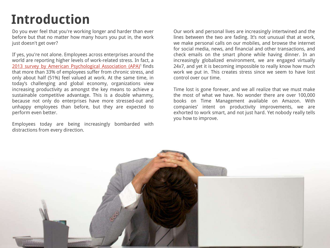## **Introduction**

Do you ever feel that you're working longer and harder than ever before but that no matter how many hours you put in, the work just doesn't get over?

If yes, you're not alone. Employees across enterprises around the world are reporting higher levels of work-related stress. In fact, a [2013](http://www.apaexcellence.org/assets/general/2013-work-and-wellbeing-survey-results.pdf) [survey](http://www.apaexcellence.org/assets/general/2013-work-and-wellbeing-survey-results.pdf) [by](http://www.apaexcellence.org/assets/general/2013-work-and-wellbeing-survey-results.pdf) [American](http://www.apaexcellence.org/assets/general/2013-work-and-wellbeing-survey-results.pdf) [Psychological](http://www.apaexcellence.org/assets/general/2013-work-and-wellbeing-survey-results.pdf) [Association](http://www.apaexcellence.org/assets/general/2013-work-and-wellbeing-survey-results.pdf) [\(APA\)](http://www.apaexcellence.org/assets/general/2013-work-and-wellbeing-survey-results.pdf)<sup>1</sup> finds that more than 33% of employees suffer from chronic stress, and only about half (51%) feel valued at work. At the same time, in today's challenging and global economy, organizations view increasing productivity as amongst the key means to achieve a sustainable competitive advantage. This is a double whammy, because not only do enterprises have more stressed-out and unhappy employees than before, but they are expected to perform even better.

Employees today are being increasingly bombarded with distractions from every direction.

Our work and personal lives are increasingly intertwined and the lines between the two are fading. It's not unusual that at work, we make personal calls on our mobiles, and browse the internet for social media, news, and financial and other transactions, and check emails on the smart phone while having dinner. In an increasingly globalized environment, we are engaged virtually 24x7, and yet it is becoming impossible to really know how much work we put in. This creates stress since we seem to have lost control over our time.

Time lost is gone forever, and we all realize that we must make the most of what we have. No wonder there are over 100,000 books on Time Management available on Amazon. With companies' intent on productivity improvements, we are exhorted to work smart, and not just hard. Yet nobody really tells you how to improve.

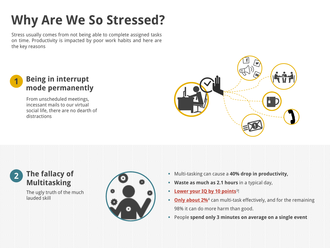# **Why Are We So Stressed?**

Stress usually comes from not being able to complete assigned tasks on time. Productivity is impacted by poor work habits and here are the key reasons



From unscheduled meetings, incessant mails to our virtual social life, there are no dearth of distractions



#### **2 The fallacy of Multitasking**

The ugly truth of the much lauded skill



- Multi-tasking can cause a **40% drop in productivity,**
- **Waste as much as 2.1 hours** in a typical day,
- **EDEA IS NOT THE UP TO BUY 10 points**<sup>3!</sup>
- **[Only about 2%](http://www.psychologytoday.com/blog/brain-trust/201202/is-your-brain-multitasking)**<sup>4</sup> can multi-task effectively, and for the remaining 98% it can do more harm than good.
- People **spend only 3 minutes on average on a single event**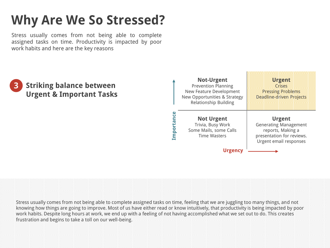# **Why Are We So Stressed?**

Stress usually comes from not being able to complete assigned tasks on time. Productivity is impacted by poor work habits and here are the key reasons



Stress usually comes from not being able to complete assigned tasks on time, feeling that we are juggling too many things, and not knowing how things are going to improve. Most of us have either read or know intuitively, that productivity is being impacted by poor work habits. Despite long hours at work, we end up with a feeling of not having accomplished what we set out to do. This creates frustration and begins to take a toll on our well-being.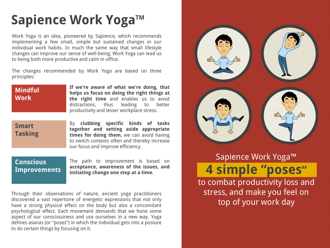Work Yoga is an idea, pioneered by Sapience, which recommends implementing a few small, simple but sustained changes in our individual work habits. In much the same way that small lifestyle changes can improve our sense of well-being, Work Yoga can lead us to being both more productive and calm in office.

The changes recommended by Work Yoga are based on three principles:

#### **Mindful Work**

**If we're aware of what we're doing, that helps us focus on doing the right things at the right time** and enables us to avoid distractions, thus leading to better productivity and lesser workplace stress.

#### **Smart Tasking**

By **clubbing specific kinds of tasks together and setting aside appropriate times for doing them**, we can avoid having to switch contexts often and thereby increase our focus and improve efficiency.

#### **Conscious Improvements**

The path to improvement is based on **acceptance, awareness of the issues, and initiating change one step at a time**.

Through their observations of nature, ancient yoga practitioners discovered a vast repertoire of energetic expressions that not only have a strong physical effect on the body but also a concomitant psychological effect. Each movement demands that we hone some aspect of our consciousness and use ourselves in a new way. Yoga defines asanas (or "poses") in which the individual gets into a posture to do certain things by focusing on it.



### Sapience Work Yoga™ **4 simple "poses"** to combat productivity loss and stress, and make you feel on

top of your work day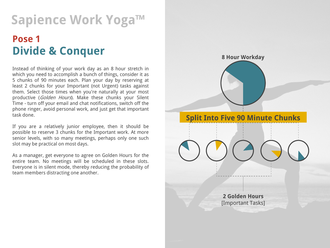## **Pose 1 Divide & Conquer**

Instead of thinking of your work day as an 8 hour stretch in which you need to accomplish a bunch of things, consider it as 5 chunks of 90 minutes each. Plan your day by reserving at least 2 chunks for your Important (not Urgent) tasks against them. Select those times when you're naturally at your most productive (Golden Hours). Make these chunks your Silent Time - turn off your email and chat notifications, switch off the phone ringer, avoid personal work, and just get that important task done.

If you are a relatively junior employee, then it should be possible to reserve 3 chunks for the Important work. At more senior levels, with so many meetings, perhaps only one such slot may be practical on most days.

As a manager, get everyone to agree on Golden Hours for the entire team. No meetings will be scheduled in these slots. Everyone is in silent mode, thereby reducing the probability of team members distracting one another.

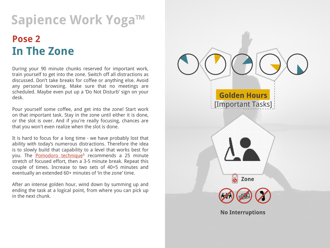## **Pose 2 In The Zone**

During your 90 minute chunks reserved for important work, train yourself to get into the zone. Switch off all distractions as discussed. Don't take breaks for coffee or anything else. Avoid any personal browsing. Make sure that no meetings are scheduled. Maybe even put up a 'Do Not Disturb' sign on your desk.

Pour yourself some coffee, and get into the zone! Start work on that important task. Stay in the zone until either it is done, or the slot is over. And if you're really focusing, chances are that you won't even realize when the slot is done.

It is hard to focus for a long time - we have probably lost that ability with today's numerous distractions. Therefore the idea is to slowly build that capability to a level that works best for you. The [Pomodoro](http://pomodorotechnique.com/) [technique](http://pomodorotechnique.com/)<sup>5</sup> recommends a 25 minute stretch of focused effort, then a 3-5 minute break. Repeat this couple of times. Increase to two sets of 40+5 minutes and eventually an extended 60+ minutes of 'in the zone' time.

After an intense golden hour, wind down by summing up and ending the task at a logical point, from where you can pick up in the next chunk.

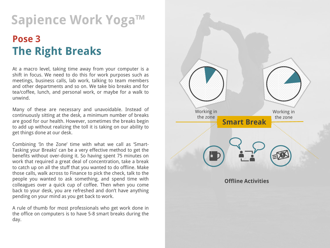## **Pose 3 The Right Breaks**

At a macro level, taking time away from your computer is a shift in focus. We need to do this for work purposes such as meetings, business calls, lab work, talking to team members and other departments and so on. We take bio breaks and for tea/coffee, lunch, and personal work, or maybe for a walk to unwind.

Many of these are necessary and unavoidable. Instead of continuously sitting at the desk, a minimum number of breaks are good for our health. However, sometimes the breaks begin to add up without realizing the toll it is taking on our ability to get things done at our desk.

Combining 'In the Zone' time with what we call as 'Smart-Tasking your Breaks' can be a very effective method to get the benefits without over-doing it. So having spent 75 minutes on work that required a great deal of concentration, take a break to catch up on all the stuff that you wanted to do offline. Make those calls, walk across to Finance to pick the check, talk to the people you wanted to ask something, and spend time with colleagues over a quick cup of coffee. Then when you come back to your desk, you are refreshed and don't have anything pending on your mind as you get back to work.

A rule of thumb for most professionals who get work done in the office on computers is to have 5-8 smart breaks during the day.

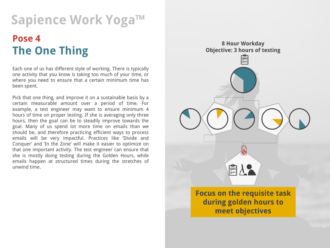## **Pose 4 The One Thing**

Each one of us has different style of working. There is typically one activity that you know is taking too much of your time, or where you need to ensure that a certain minimum time has been spent.

Pick that one thing, and improve it on a sustainable basis by a certain measurable amount over a period of time. For example, a test engineer may want to ensure minimum 4 hours of time on proper testing. If she is averaging only three hours, then the goal can be to steadily improve towards the goal. Many of us spend lot more time on emails than we should be, and therefore practicing efficient ways to process emails will be very impactful. Practices like 'Divide and Conquer' and 'In the Zone' will make it easier to optimize on that one important activity. The test engineer can ensure that she is mostly doing testing during the Golden Hours, while emails happen at structured times during the stretches of unwind time.

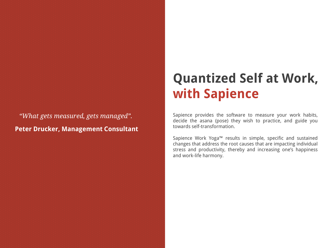*"What gets measured, gets managed".*  **Peter Drucker, Management Consultant**

## **Quantized Self at Work, with Sapience**

Sapience provides the software to measure your work habits, decide the asana (pose) they wish to practice, and guide you towards self-transformation.

Sapience Work Yoga™ results in simple, specific and sustained changes that address the root causes that are impacting individual stress and productivity, thereby and increasing one's happiness and work-life harmony.